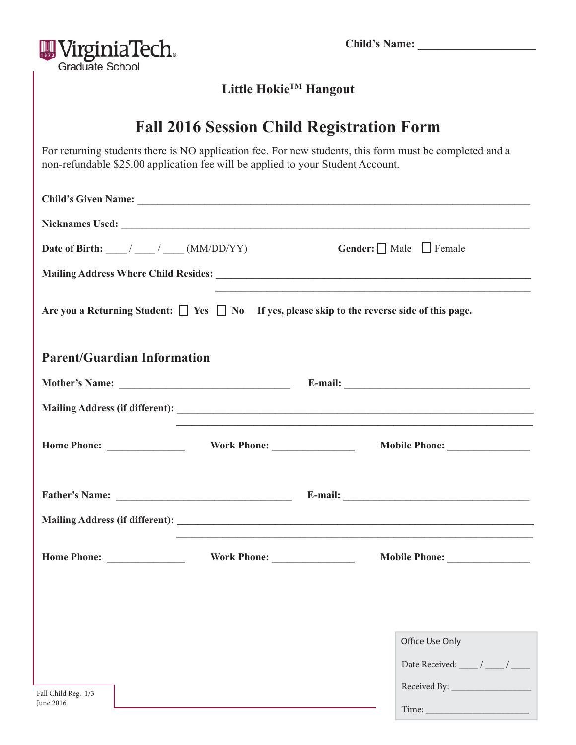| <b>Child's Name:</b> |  |
|----------------------|--|
|                      |  |



### **Little HokieTM Hangout**

## **Fall 2016 Session Child Registration Form**

For returning students there is NO application fee. For new students, this form must be completed and a non-refundable \$25.00 application fee will be applied to your Student Account.

| Date of Birth: $\frac{1}{\sqrt{1-\frac{1}{2}}}$ (MM/DD/YY)                                              |  |  | <b>Gender:</b> $\Box$ Male $\Box$ Female                                                                              |  |  |
|---------------------------------------------------------------------------------------------------------|--|--|-----------------------------------------------------------------------------------------------------------------------|--|--|
|                                                                                                         |  |  |                                                                                                                       |  |  |
| Are you a Returning Student: $\Box$ Yes $\Box$ No If yes, please skip to the reverse side of this page. |  |  | <u> 1989 - Johann John Stoff, deutscher Stoffen und der Stoffen und der Stoffen und der Stoffen und der Stoffen</u>   |  |  |
| <b>Parent/Guardian Information</b>                                                                      |  |  |                                                                                                                       |  |  |
|                                                                                                         |  |  |                                                                                                                       |  |  |
|                                                                                                         |  |  | <u> 1989 - Johann Harry Harry Harry Harry Harry Harry Harry Harry Harry Harry Harry Harry Harry Harry Harry Harry</u> |  |  |
|                                                                                                         |  |  |                                                                                                                       |  |  |
|                                                                                                         |  |  |                                                                                                                       |  |  |
|                                                                                                         |  |  |                                                                                                                       |  |  |
|                                                                                                         |  |  | Mobile Phone: New York Phone:                                                                                         |  |  |
|                                                                                                         |  |  |                                                                                                                       |  |  |
|                                                                                                         |  |  |                                                                                                                       |  |  |
|                                                                                                         |  |  | Office Use Only                                                                                                       |  |  |
|                                                                                                         |  |  | Date Received: $\frac{1}{\sqrt{2}}$ / $\frac{1}{\sqrt{2}}$                                                            |  |  |
| Fall Child Reg. 1/3<br>June 2016                                                                        |  |  |                                                                                                                       |  |  |
|                                                                                                         |  |  | Time:                                                                                                                 |  |  |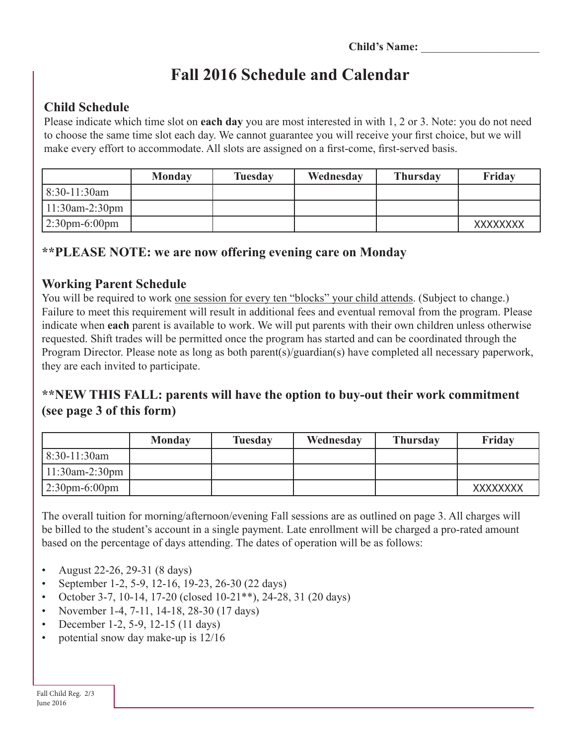# **Fall 2016 Schedule and Calendar**

### **Child Schedule**

Please indicate which time slot on **each day** you are most interested in with 1, 2 or 3. Note: you do not need to choose the same time slot each day. We cannot guarantee you will receive your first choice, but we will make every effort to accommodate. All slots are assigned on a first-come, first-served basis.

|                   | <b>Monday</b> | Tuesday | Wednesday | <b>Thursday</b> | Friday          |
|-------------------|---------------|---------|-----------|-----------------|-----------------|
| $8:30-11:30$ am   |               |         |           |                 |                 |
| $11:30$ am-2:30pm |               |         |           |                 |                 |
| $2:30$ pm-6:00pm  |               |         |           |                 | <b>XXXXXXXX</b> |

### **\*\*PLEASE NOTE: we are now offering evening care on Monday**

#### **Working Parent Schedule**

You will be required to work <u>one session for every ten "blocks" your child attends</u>. (Subject to change.) Failure to meet this requirement will result in additional fees and eventual removal from the program. Please indicate when **each** parent is available to work. We will put parents with their own children unless otherwise requested. Shift trades will be permitted once the program has started and can be coordinated through the Program Director. Please note as long as both parent(s)/guardian(s) have completed all necessary paperwork, they are each invited to participate.

### **\*\*NEW THIS FALL: parents will have the option to buy-out their work commitment (see page 3 of this form)**

|                   | <b>Monday</b> | <b>Tuesday</b> | Wednesday | <b>Thursday</b> | Friday          |
|-------------------|---------------|----------------|-----------|-----------------|-----------------|
| 8:30-11:30am      |               |                |           |                 |                 |
| $11:30$ am-2:30pm |               |                |           |                 |                 |
| $2:30$ pm-6:00pm  |               |                |           |                 | <b>XXXXXXXX</b> |

The overall tuition for morning/afternoon/evening Fall sessions are as outlined on page 3. All charges will be billed to the student's account in a single payment. Late enrollment will be charged a pro-rated amount based on the percentage of days attending. The dates of operation will be as follows:

- August 22-26, 29-31 (8 days)
- September 1-2, 5-9, 12-16, 19-23, 26-30 (22 days)
- October 3-7, 10-14, 17-20 (closed  $10-21$ <sup>\*\*</sup>), 24-28, 31 (20 days)
- November 1-4, 7-11, 14-18, 28-30 (17 days)
- December 1-2, 5-9, 12-15 (11 days)
- potential snow day make-up is  $12/16$